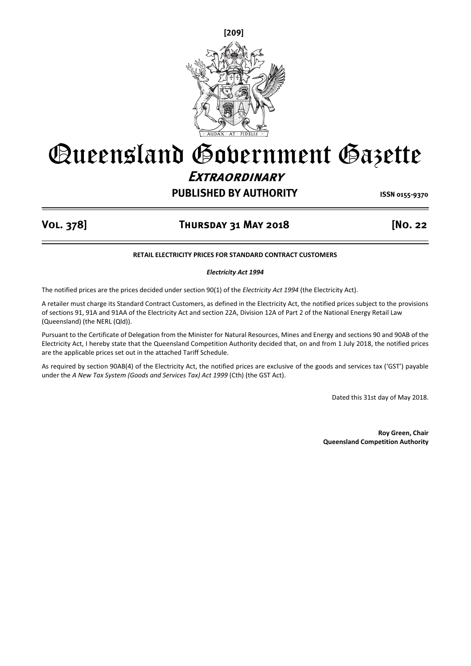

# **PUBLISHED BY AUTHORITY ISSN 0155-9370** Queensland Government Gazette **Extraordinary**

### **Vol. 378] Thursday 31 May 2018 [No. 22**

#### **RETAIL ELECTRICITY PRICES FOR STANDARD CONTRACT CUSTOMERS**

*Electricity Act 1994* 

The notified prices are the prices decided under section 90(1) of the *Electricity Act 1994* (the Electricity Act).

A retailer must charge its Standard Contract Customers, as defined in the Electricity Act, the notified prices subject to the provisions of sections 91, 91A and 91AA of the Electricity Act and section 22A, Division 12A of Part 2 of the National Energy Retail Law (Queensland) (the NERL (Qld)).

Pursuant to the Certificate of Delegation from the Minister for Natural Resources, Mines and Energy and sections 90 and 90AB of the Electricity Act, I hereby state that the Queensland Competition Authority decided that, on and from 1 July 2018, the notified prices are the applicable prices set out in the attached Tariff Schedule.

As required by section 90AB(4) of the Electricity Act, the notified prices are exclusive of the goods and services tax ('GST') payable under the *A New Tax System (Goods and Services Tax) Act 1999* (Cth) (the GST Act).

Dated this 31st day of May 2018.

**Roy Green, Chair Queensland Competition Authority**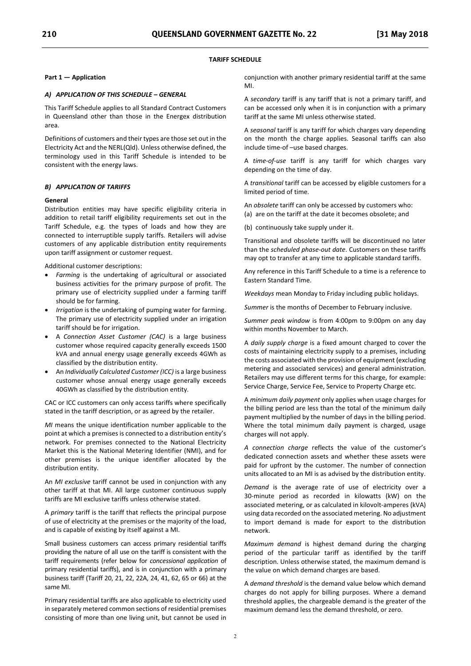#### **TARIFF SCHEDULE**

#### **Part 1 — Application**

#### *A) APPLICATION OF THIS SCHEDULE – GENERAL*

This Tariff Schedule applies to all Standard Contract Customers in Queensland other than those in the Energex distribution area.

Definitions of customers and their types are those set out in the Electricity Act and the NERL(Qld). Unless otherwise defined, the terminology used in this Tariff Schedule is intended to be consistent with the energy laws.

#### *B) APPLICATION OF TARIFFS*

#### **General**

Distribution entities may have specific eligibility criteria in addition to retail tariff eligibility requirements set out in the Tariff Schedule, e.g. the types of loads and how they are connected to interruptible supply tariffs. Retailers will advise customers of any applicable distribution entity requirements upon tariff assignment or customer request.

Additional customer descriptions:

- - *Farming* is the undertaking of agricultural or associated business activities for the primary purpose of profit. The primary use of electricity supplied under a farming tariff should be for farming.
- *Irrigation* is the undertaking of pumping water for farming. The primary use of electricity supplied under an irrigation tariff should be for irrigation.
- - A *Connection Asset Customer (CAC)* is a large business customer whose required capacity generally exceeds 1500 kVA and annual energy usage generally exceeds 4GWh as classified by the distribution entity.
- - An *Individually Calculated Customer (ICC)* is a large business customer whose annual energy usage generally exceeds 40GWh as classified by the distribution entity.

CAC or ICC customers can only access tariffs where specifically stated in the tariff description, or as agreed by the retailer.

*MI* means the unique identification number applicable to the point at which a premises is connected to a distribution entity's network. For premises connected to the National Electricity Market this is the National Metering Identifier (NMI), and for other premises is the unique identifier allocated by the distribution entity.

An *MI exclusive* tariff cannot be used in conjunction with any other tariff at that MI. All large customer continuous supply tariffs are MI exclusive tariffs unless otherwise stated.

A *primary* tariff is the tariff that reflects the principal purpose of use of electricity at the premises or the majority of the load, and is capable of existing by itself against a MI.

Small business customers can access primary residential tariffs providing the nature of all use on the tariff is consistent with the tariff requirements (refer below for *concessional application* of primary residential tariffs), and is in conjunction with a primary business tariff (Tariff 20, 21, 22, 22A, 24, 41, 62, 65 or 66) at the same MI.

Primary residential tariffs are also applicable to electricity used in separately metered common sections of residential premises consisting of more than one living unit, but cannot be used in

conjunction with another primary residential tariff at the same MI.

A *secondary* tariff is any tariff that is not a primary tariff, and can be accessed only when it is in conjunction with a primary tariff at the same MI unless otherwise stated.

A *seasonal* tariff is any tariff for which charges vary depending on the month the charge applies. Seasonal tariffs can also include time-of –use based charges.

A *time-of-use* tariff is any tariff for which charges vary depending on the time of day.

A *transitional* tariff can be accessed by eligible customers for a limited period of time.

An *obsolete* tariff can only be accessed by customers who:

(a) are on the tariff at the date it becomes obsolete; and

(b) continuously take supply under it.

Transitional and obsolete tariffs will be discontinued no later than the *scheduled phase-out date*. Customers on these tariffs may opt to transfer at any time to applicable standard tariffs.

Any reference in this Tariff Schedule to a time is a reference to Eastern Standard Time.

*Weekdays* mean Monday to Friday including public holidays.

*Summer* is the months of December to February inclusive.

*Summer peak window* is from 4:00pm to 9:00pm on any day within months November to March.

A *daily supply charge* is a fixed amount charged to cover the costs of maintaining electricity supply to a premises, including the costs associated with the provision of equipment (excluding metering and associated services) and general administration. Retailers may use different terms for this charge, for example: Service Charge, Service Fee, Service to Property Charge etc.

A *minimum daily payment* only applies when usage charges for the billing period are less than the total of the minimum daily payment multiplied by the number of days in the billing period. Where the total minimum daily payment is charged, usage charges will not apply.

*A connection charge* reflects the value of the customer's dedicated connection assets and whether these assets were paid for upfront by the customer. The number of connection units allocated to an MI is as advised by the distribution entity.

*Demand* is the average rate of use of electricity over a 30-minute period as recorded in kilowatts (kW) on the associated metering, or as calculated in kilovolt-amperes (kVA) using data recorded on the associated metering. No adjustment to import demand is made for export to the distribution network.

*Maximum demand* is highest demand during the charging period of the particular tariff as identified by the tariff description. Unless otherwise stated, the maximum demand is the value on which demand charges are based.

A *demand threshold* is the demand value below which demand charges do not apply for billing purposes. Where a demand threshold applies, the chargeable demand is the greater of the maximum demand less the demand threshold, or zero.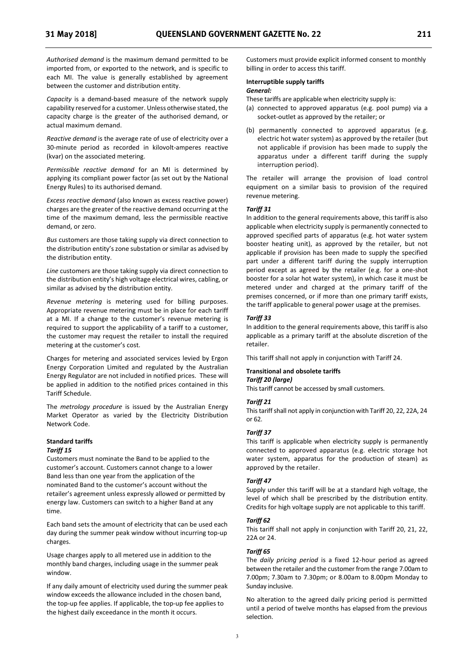*Authorised demand* is the maximum demand permitted to be imported from, or exported to the network, and is specific to each MI. The value is generally established by agreement between the customer and distribution entity.

*Capacity* is a demand-based measure of the network supply capability reserved for a customer. Unless otherwise stated, the capacity charge is the greater of the authorised demand, or actual maximum demand.

*Reactive demand* is the average rate of use of electricity over a 30-minute period as recorded in kilovolt-amperes reactive (kvar) on the associated metering.

*Permissible reactive demand* for an MI is determined by applying its compliant power factor (as set out by the National Energy Rules) to its authorised demand.

*Excess reactive demand* (also known as excess reactive power) charges are the greater of the reactive demand occurring at the time of the maximum demand, less the permissible reactive demand, or zero.

*Bus* customers are those taking supply via direct connection to the distribution entity's zone substation or similar as advised by the distribution entity.

*Line* customers are those taking supply via direct connection to the distribution entity's high voltage electrical wires, cabling, or similar as advised by the distribution entity.

*Revenue metering* is metering used for billing purposes. Appropriate revenue metering must be in place for each tariff at a MI. If a change to the customer's revenue metering is required to support the applicability of a tariff to a customer, the customer may request the retailer to install the required metering at the customer's cost.

Charges for metering and associated services levied by Ergon Energy Corporation Limited and regulated by the Australian Energy Regulator are not included in notified prices. These will be applied in addition to the notified prices contained in this Tariff Schedule.

The *metrology procedure* is issued by the Australian Energy Market Operator as varied by the Electricity Distribution Network Code.

#### **Standard tariffs**

#### *Tariff 15*

Customers must nominate the Band to be applied to the customer's account. Customers cannot change to a lower Band less than one year from the application of the nominated Band to the customer's account without the retailer's agreement unless expressly allowed or permitted by energy law. Customers can switch to a higher Band at any time.

Each band sets the amount of electricity that can be used each day during the summer peak window without incurring top-up charges.

Usage charges apply to all metered use in addition to the monthly band charges, including usage in the summer peak window.

If any daily amount of electricity used during the summer peak window exceeds the allowance included in the chosen band, the top-up fee applies. If applicable, the top-up fee applies to the highest daily exceedance in the month it occurs.

Customers must provide explicit informed consent to monthly billing in order to access this tariff.

#### **Interruptible supply tariffs**  *General:*

These tariffs are applicable when electricity supply is:

- (a) connected to approved apparatus (e.g. pool pump) via a socket-outlet as approved by the retailer; or
- (b) permanently connected to approved apparatus (e.g. electric hot water system) as approved by the retailer (but not applicable if provision has been made to supply the apparatus under a different tariff during the supply interruption period).

The retailer will arrange the provision of load control equipment on a similar basis to provision of the required revenue metering.

#### *Tariff 31*

In addition to the general requirements above, this tariff is also applicable when electricity supply is permanently connected to approved specified parts of apparatus (e.g. hot water system booster heating unit), as approved by the retailer, but not applicable if provision has been made to supply the specified part under a different tariff during the supply interruption period except as agreed by the retailer (e.g. for a one-shot booster for a solar hot water system), in which case it must be metered under and charged at the primary tariff of the premises concerned, or if more than one primary tariff exists, the tariff applicable to general power usage at the premises.

#### *Tariff 33*

In addition to the general requirements above, this tariff is also applicable as a primary tariff at the absolute discretion of the retailer.

This tariff shall not apply in conjunction with Tariff 24.

#### **Transitional and obsolete tariffs**  *Tariff 20 (large)*

This tariff cannot be accessed by small customers.

#### *Tariff 21*

This tariff shall not apply in conjunction with Tariff 20, 22, 22A, 24 or 62.

#### *Tariff 37*

This tariff is applicable when electricity supply is permanently connected to approved apparatus (e.g. electric storage hot water system, apparatus for the production of steam) as approved by the retailer.

#### *Tariff 47*

Supply under this tariff will be at a standard high voltage, the level of which shall be prescribed by the distribution entity. Credits for high voltage supply are not applicable to this tariff.

#### *Tariff 62*

This tariff shall not apply in conjunction with Tariff 20, 21, 22, 22A or 24.

#### *Tariff 65*

The *daily pricing period* is a fixed 12-hour period as agreed between the retailer and the customer from the range 7.00am to 7.00pm; 7.30am to 7.30pm; or 8.00am to 8.00pm Monday to Sunday inclusive.

No alteration to the agreed daily pricing period is permitted until a period of twelve months has elapsed from the previous selection.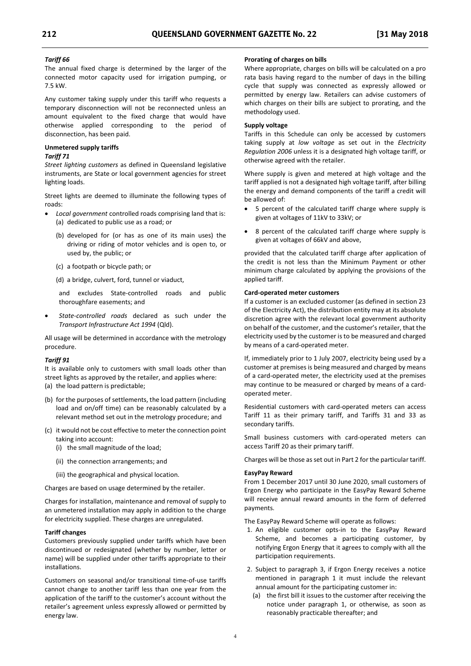#### *Tariff 66*

The annual fixed charge is determined by the larger of the connected motor capacity used for irrigation pumping, or 7.5 kW.

Any customer taking supply under this tariff who requests a temporary disconnection will not be reconnected unless an amount equivalent to the fixed charge that would have otherwise applied corresponding to the period of disconnection, has been paid.

### **Unmetered supply tariffs**

### *Tariff 71*

*Street lighting customers* as defined in Queensland legislative instruments, are State or local government agencies for street lighting loads.

Street lights are deemed to illuminate the following types of roads:

- - *Local government* controlled roads comprising land that is: (a) dedicated to public use as a road; or
	- (b) developed for (or has as one of its main uses) the driving or riding of motor vehicles and is open to, or used by, the public; or
	- (c) a footpath or bicycle path; or
	- (d) a bridge, culvert, ford, tunnel or viaduct,

and excludes State-controlled roads and public thoroughfare easements; and

- *State-controlled roads* declared as such under the *Transport Infrastructure Act 1994* (Qld).

All usage will be determined in accordance with the metrology procedure.

#### *Tariff 91*

It is available only to customers with small loads other than street lights as approved by the retailer, and applies where: (a) the load pattern is predictable;

- (b) for the purposes of settlements, the load pattern (including load and on/off time) can be reasonably calculated by a relevant method set out in the metrology procedure; and
- (c) it would not be cost effective to meter the connection point taking into account:
	- (i) the small magnitude of the load;
	- (ii) the connection arrangements; and
	- (iii) the geographical and physical location.

Charges are based on usage determined by the retailer.

Charges for installation, maintenance and removal of supply to an unmetered installation may apply in addition to the charge for electricity supplied. These charges are unregulated.

#### **Tariff changes**

Customers previously supplied under tariffs which have been discontinued or redesignated (whether by number, letter or name) will be supplied under other tariffs appropriate to their installations.

Customers on seasonal and/or transitional time-of-use tariffs cannot change to another tariff less than one year from the application of the tariff to the customer's account without the retailer's agreement unless expressly allowed or permitted by energy law.

#### **Prorating of charges on bills**

Where appropriate, charges on bills will be calculated on a pro rata basis having regard to the number of days in the billing cycle that supply was connected as expressly allowed or permitted by energy law. Retailers can advise customers of which charges on their bills are subject to prorating, and the methodology used.

#### **Supply voltage**

Tariffs in this Schedule can only be accessed by customers taking supply at *low voltage* as set out in the *Electricity Regulation 2006* unless it is a designated high voltage tariff, or otherwise agreed with the retailer.

Where supply is given and metered at high voltage and the tariff applied is not a designated high voltage tariff, after billing the energy and demand components of the tariff a credit will be allowed of:

- - 5 percent of the calculated tariff charge where supply is given at voltages of 11kV to 33kV; or
- - 8 percent of the calculated tariff charge where supply is given at voltages of 66kV and above,

provided that the calculated tariff charge after application of the credit is not less than the Minimum Payment or other minimum charge calculated by applying the provisions of the applied tariff.

#### **Card-operated meter customers**

If a customer is an excluded customer (as defined in section 23 of the Electricity Act), the distribution entity may at its absolute discretion agree with the relevant local government authority on behalf of the customer, and the customer's retailer, that the electricity used by the customer is to be measured and charged by means of a card-operated meter.

If, immediately prior to 1 July 2007, electricity being used by a customer at premises is being measured and charged by means of a card-operated meter, the electricity used at the premises may continue to be measured or charged by means of a cardoperated meter.

Residential customers with card-operated meters can access Tariff 11 as their primary tariff, and Tariffs 31 and 33 as secondary tariffs.

Small business customers with card-operated meters can access Tariff 20 as their primary tariff.

Charges will be those as set out in Part 2 for the particular tariff.

#### **EasyPay Reward**

From 1 December 2017 until 30 June 2020, small customers of Ergon Energy who participate in the EasyPay Reward Scheme will receive annual reward amounts in the form of deferred payments.

The EasyPay Reward Scheme will operate as follows:

- 1. An eligible customer opts-in to the EasyPay Reward Scheme, and becomes a participating customer, by notifying Ergon Energy that it agrees to comply with all the participation requirements.
- 2. Subject to paragraph 3, if Ergon Energy receives a notice mentioned in paragraph 1 it must include the relevant annual amount for the participating customer in:
	- (a) the first bill it issues to the customer after receiving the notice under paragraph 1, or otherwise, as soon as reasonably practicable thereafter; and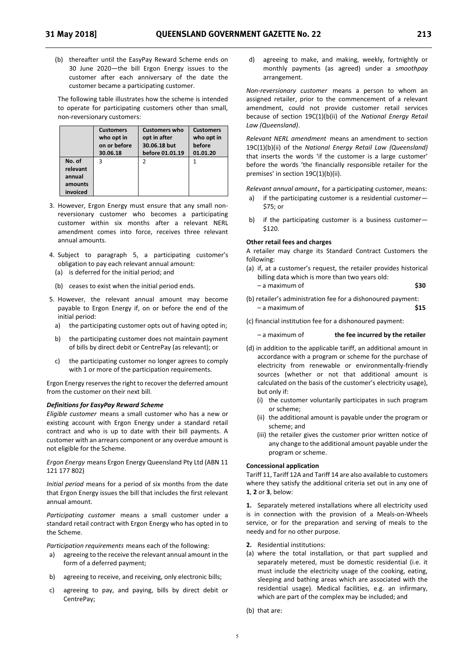(b) thereafter until the EasyPay Reward Scheme ends on 30 June 2020—the bill Ergon Energy issues to the customer after each anniversary of the date the customer became a participating customer.

The following table illustrates how the scheme is intended to operate for participating customers other than small, non-reversionary customers:

|                                                     | <b>Customers</b> | <b>Customers who</b> | <b>Customers</b> |
|-----------------------------------------------------|------------------|----------------------|------------------|
|                                                     | who opt in       | opt in after         | who opt in       |
|                                                     | on or before     | 30.06.18 but         | before           |
|                                                     | 30.06.18         | before 01.01.19      | 01.01.20         |
| No. of<br>relevant<br>annual<br>amounts<br>invoiced | 3                | っ                    |                  |

- 3. However, Ergon Energy must ensure that any small nonreversionary customer who becomes a participating customer within six months after a relevant NERL amendment comes into force, receives three relevant annual amounts.
- 4. Subject to paragraph 5, a participating customer's obligation to pay each relevant annual amount:
	- (a) is deferred for the initial period; and
	- (b) ceases to exist when the initial period ends.
- 5. However, the relevant annual amount may become payable to Ergon Energy if, on or before the end of the initial period:
	- a) the participating customer opts out of having opted in;
	- b) the participating customer does not maintain payment of bills by direct debit or CentrePay (as relevant); or
	- c) the participating customer no longer agrees to comply with 1 or more of the participation requirements.

Ergon Energy reserves the right to recover the deferred amount from the customer on their next bill.

### *Definitions for EasyPay Reward Scheme*

*Eligible customer* means a small customer who has a new or existing account with Ergon Energy under a standard retail contract and who is up to date with their bill payments. A customer with an arrears component or any overdue amount is not eligible for the Scheme.

*Ergon Energy* means Ergon Energy Queensland Pty Ltd (ABN 11 121 177 802)

*Initial period* means for a period of six months from the date that Ergon Energy issues the bill that includes the first relevant annual amount.

*Participating customer* means a small customer under a standard retail contract with Ergon Energy who has opted in to the Scheme.

- *Participation requirements* means each of the following:<br>a) agreeing to the receive the relevant annual amount in the form of a deferred payment;
- b) agreeing to receive, and receiving, only electronic bills;
- agreeing to pay, and paying, bills by direct debit or CentrePay;

d) agreeing to make, and making, weekly, fortnightly or monthly payments (as agreed) under a *smoothpay*  arrangement.

*Non-reversionary customer* means a person to whom an assigned retailer, prior to the commencement of a relevant amendment, could not provide customer retail services because of section 19C(1)(b(ii) of the *National Energy Retail Law (Queensland)*.

*Relevant NERL amendment* means an amendment to section 19C(1)(b)(ii) of the *National Energy Retail Law (Queensland)* that inserts the words 'if the customer is a large customer' before the words 'the financially responsible retailer for the premises' in section 19C(1)(b)(ii).

*Relevant annual amount*, for a participating customer, means:

- a) if the participating customer is a residential customer-\$75; or
- b) if the participating customer is a business customer— \$120.

#### **Other retail fees and charges**

A retailer may charge its Standard Contract Customers the following:

- (a) if, at a customer's request, the retailer provides historical billing data which is more than two years old: – a maximum of **\$30**
- (b) retailer's administration fee for a dishonoured payment: – a maximum of **\$15**
- (c) financial institution fee for a dishonoured payment:
	- a maximum of **the fee incurred by the retailer**
- (d) in addition to the applicable tariff, an additional amount in accordance with a program or scheme for the purchase of electricity from renewable or environmentally-friendly sources (whether or not that additional amount is calculated on the basis of the customer's electricity usage), but only if:
	- (i) the customer voluntarily participates in such program or scheme;
	- (ii) the additional amount is payable under the program or scheme; and
	- (iii) the retailer gives the customer prior written notice of any change to the additional amount payable under the program or scheme.

#### **Concessional application**

Tariff 11, Tariff 12A and Tariff 14 are also available to customers where they satisfy the additional criteria set out in any one of **1**, **2** or **3**, below:

**1.** Separately metered installations where all electricity used is in connection with the provision of a Meals-on-Wheels service, or for the preparation and serving of meals to the needy and for no other purpose.

- **2.** Residential institutions:
- (a) where the total installation, or that part supplied and separately metered, must be domestic residential (i.e. it must include the electricity usage of the cooking, eating, sleeping and bathing areas which are associated with the residential usage). Medical facilities, e.g. an infirmary, which are part of the complex may be included; and
- (b) that are: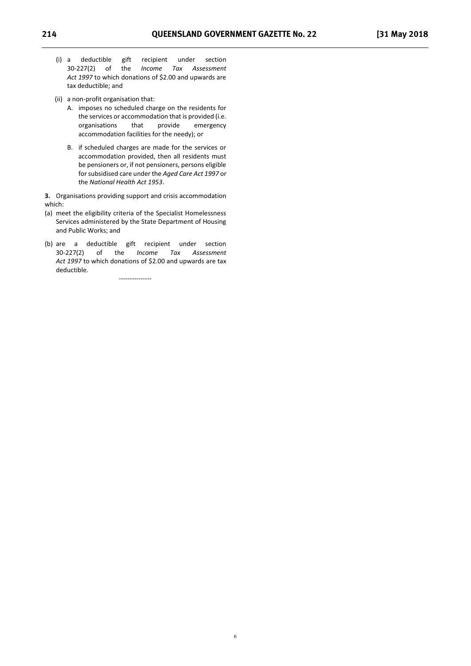- (i) a deductible gift recipient under section 30-227(2) of the *Income Tax Assessment Act 1997* to which donations of \$2.00 and upwards are tax deductible; and
- (ii) a non-profit organisation that:
	- A. imposes no scheduled charge on the residents for the services or accommodation that is provided (i.e.<br>organisations that provide emergency organisations that provide emergency accommodation facilities for the needy); or
	- B. if scheduled charges are made for the services or accommodation provided, then all residents must be pensioners or, if not pensioners, persons eligible for subsidised care under the *Aged Care Act 1997* or the *National Health Act 1953*.

**3.** Organisations providing support and crisis accommodation which:

- (a) meet the eligibility criteria of the Specialist Homelessness Services administered by the State Department of Housing and Public Works; and
- (b) are a deductible gift recipient under section 30-227(2) of the *Income Tax Assessment Act 1997* to which donations of \$2.00 and upwards are tax deductible.

---------------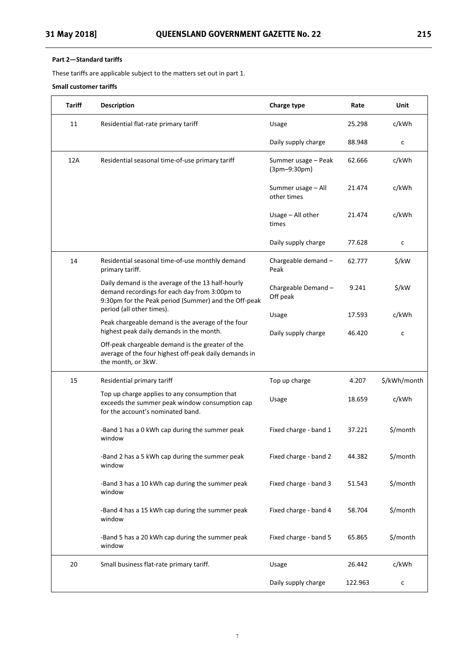These tariffs are applicable subject to the matters set out in part 1.

#### **Small customer tariffs**

| Tariff | <b>Description</b>                                                                                                                                         | <b>Charge type</b>                  | Rate    | Unit              |
|--------|------------------------------------------------------------------------------------------------------------------------------------------------------------|-------------------------------------|---------|-------------------|
| 11     | Residential flat-rate primary tariff                                                                                                                       | Usage                               | 25.298  | c/kWh             |
|        |                                                                                                                                                            | Daily supply charge                 | 88.948  | c                 |
| 12A    | Residential seasonal time-of-use primary tariff                                                                                                            | Summer usage - Peak<br>(3pm-9:30pm) | 62.666  | c/kWh             |
|        |                                                                                                                                                            | Summer usage - All<br>other times   | 21.474  | c/kWh             |
|        |                                                                                                                                                            | Usage $-$ All other<br>times        | 21.474  | c/kWh             |
|        |                                                                                                                                                            | Daily supply charge                 | 77.628  | c                 |
| 14     | Residential seasonal time-of-use monthly demand<br>primary tariff.                                                                                         | Chargeable demand -<br>Peak         | 62.777  | \$/kW             |
|        | Daily demand is the average of the 13 half-hourly<br>demand recordings for each day from 3:00pm to<br>9:30pm for the Peak period (Summer) and the Off-peak | Chargeable Demand-<br>Off peak      | 9.241   | $\frac{1}{2}$ /kW |
|        | period (all other times).<br>Peak chargeable demand is the average of the four                                                                             | Usage                               | 17.593  | c/kWh             |
|        | highest peak daily demands in the month.                                                                                                                   | Daily supply charge                 | 46.420  | $\mathsf{C}$      |
|        | Off-peak chargeable demand is the greater of the<br>average of the four highest off-peak daily demands in<br>the month, or 3kW.                            |                                     |         |                   |
| 15     | Residential primary tariff                                                                                                                                 | Top up charge                       | 4.207   | \$/kWh/month      |
|        | Top up charge applies to any consumption that<br>exceeds the summer peak window consumption cap<br>for the account's nominated band.                       | Usage                               | 18.659  | c/kWh             |
|        | -Band 1 has a 0 kWh cap during the summer peak<br>window                                                                                                   | Fixed charge - band 1               | 37.221  | \$/month          |
|        | -Band 2 has a 5 kWh cap during the summer peak<br>window                                                                                                   | Fixed charge - band 2               | 44.382  | \$/month          |
|        | -Band 3 has a 10 kWh cap during the summer peak<br>window                                                                                                  | Fixed charge - band 3               | 51.543  | \$/month          |
|        | -Band 4 has a 15 kWh cap during the summer peak<br>window                                                                                                  | Fixed charge - band 4               | 58.704  | \$/month          |
|        | -Band 5 has a 20 kWh cap during the summer peak<br>window                                                                                                  | Fixed charge - band 5               | 65.865  | \$/month          |
| 20     | Small business flat-rate primary tariff.                                                                                                                   | Usage                               | 26.442  | c/kWh             |
|        |                                                                                                                                                            | Daily supply charge                 | 122.963 | с                 |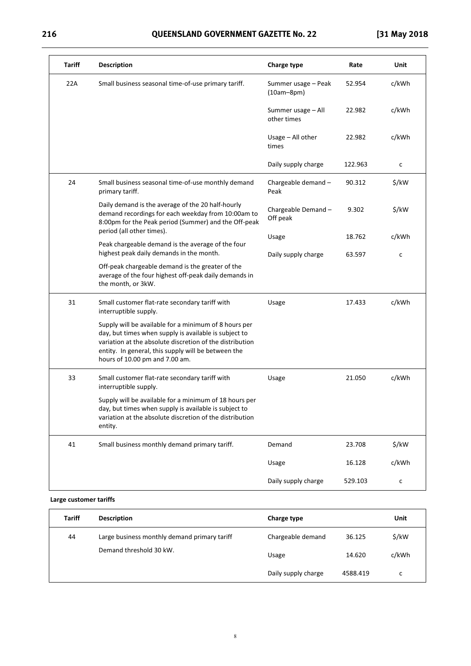## **216 QUEENSLAND GOVERNMENT GAZETTE No. 22 [31 May 2018**

| <b>Tariff</b> | <b>Description</b>                                                                                                                                                                                                                                                  | <b>Charge type</b>                  | Rate    | Unit              |
|---------------|---------------------------------------------------------------------------------------------------------------------------------------------------------------------------------------------------------------------------------------------------------------------|-------------------------------------|---------|-------------------|
| 22A           | Small business seasonal time-of-use primary tariff.                                                                                                                                                                                                                 | Summer usage - Peak<br>$(10am-8pm)$ | 52.954  | c/kWh             |
|               |                                                                                                                                                                                                                                                                     | Summer usage - All<br>other times   | 22.982  | c/kWh             |
|               |                                                                                                                                                                                                                                                                     | Usage $-$ All other<br>times        | 22.982  | c/kWh             |
|               |                                                                                                                                                                                                                                                                     | Daily supply charge                 | 122.963 | с                 |
| 24            | Small business seasonal time-of-use monthly demand<br>primary tariff.                                                                                                                                                                                               | Chargeable demand -<br>Peak         | 90.312  | $\frac{1}{2}$ /kW |
|               | Daily demand is the average of the 20 half-hourly<br>demand recordings for each weekday from 10:00am to<br>8:00pm for the Peak period (Summer) and the Off-peak                                                                                                     | Chargeable Demand-<br>Off peak      | 9.302   | \$/kW             |
|               | period (all other times).<br>Peak chargeable demand is the average of the four                                                                                                                                                                                      | Usage                               | 18.762  | c/kWh             |
|               | highest peak daily demands in the month.                                                                                                                                                                                                                            | Daily supply charge                 | 63.597  | c                 |
|               | Off-peak chargeable demand is the greater of the<br>average of the four highest off-peak daily demands in<br>the month, or 3kW.                                                                                                                                     |                                     |         |                   |
| 31            | Small customer flat-rate secondary tariff with<br>interruptible supply.                                                                                                                                                                                             | Usage                               | 17.433  | c/kWh             |
|               | Supply will be available for a minimum of 8 hours per<br>day, but times when supply is available is subject to<br>variation at the absolute discretion of the distribution<br>entity. In general, this supply will be between the<br>hours of 10.00 pm and 7.00 am. |                                     |         |                   |
| 33            | Small customer flat-rate secondary tariff with<br>interruptible supply.                                                                                                                                                                                             | Usage                               | 21.050  | c/kWh             |
|               | Supply will be available for a minimum of 18 hours per<br>day, but times when supply is available is subject to<br>variation at the absolute discretion of the distribution<br>entity.                                                                              |                                     |         |                   |
| 41            | Small business monthly demand primary tariff.                                                                                                                                                                                                                       | Demand                              | 23.708  | \$/kW             |
|               |                                                                                                                                                                                                                                                                     | Usage                               | 16.128  | c/kWh             |
|               |                                                                                                                                                                                                                                                                     | Daily supply charge                 | 529.103 | $\mathsf{C}$      |

### **Large customer tariffs**

| <b>Tariff</b> | <b>Description</b>                           | Charge type         |          | Unit  |
|---------------|----------------------------------------------|---------------------|----------|-------|
| 44            | Large business monthly demand primary tariff | Chargeable demand   | 36.125   | \$/kW |
|               | Demand threshold 30 kW.                      | Usage               | 14.620   | c/kWh |
|               |                                              | Daily supply charge | 4588.419 | c     |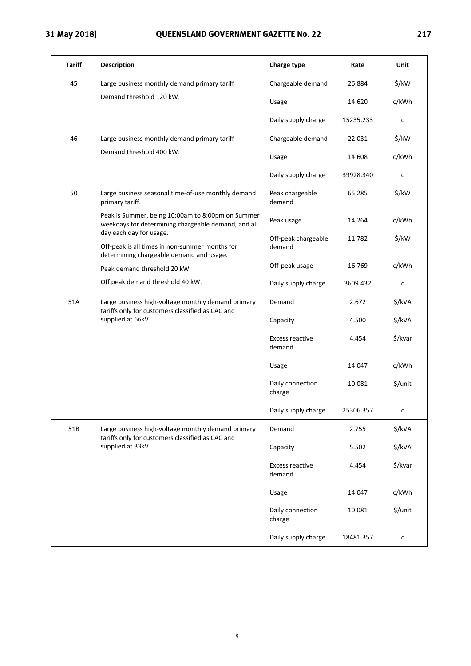| <b>Tariff</b> | <b>Description</b>                                                                                                                  | <b>Charge type</b>               | Rate      | Unit         |
|---------------|-------------------------------------------------------------------------------------------------------------------------------------|----------------------------------|-----------|--------------|
| 45            | Large business monthly demand primary tariff                                                                                        | Chargeable demand                | 26.884    | \$/kW        |
|               | Demand threshold 120 kW.                                                                                                            | Usage                            | 14.620    | c/kWh        |
|               |                                                                                                                                     | Daily supply charge              | 15235.233 | с            |
| 46            | Large business monthly demand primary tariff                                                                                        | Chargeable demand                | 22.031    | \$/kW        |
|               | Demand threshold 400 kW.                                                                                                            | Usage                            | 14.608    | c/kWh        |
|               |                                                                                                                                     | Daily supply charge              | 39928.340 | с            |
| 50            | Large business seasonal time-of-use monthly demand<br>primary tariff.                                                               | Peak chargeable<br>demand        | 65.285    | \$/kW        |
|               | Peak is Summer, being 10:00am to 8:00pm on Summer<br>weekdays for determining chargeable demand, and all<br>day each day for usage. | Peak usage                       | 14.264    | c/kWh        |
|               | Off-peak is all times in non-summer months for<br>determining chargeable demand and usage.                                          | Off-peak chargeable<br>demand    | 11.782    | \$/kW        |
|               | Peak demand threshold 20 kW.                                                                                                        | Off-peak usage                   | 16.769    | c/kWh        |
|               | Off peak demand threshold 40 kW.                                                                                                    | Daily supply charge              | 3609.432  | c            |
| 51A           | Large business high-voltage monthly demand primary                                                                                  | Demand                           | 2.672     | \$/kVA       |
|               | tariffs only for customers classified as CAC and<br>supplied at 66kV.                                                               | Capacity                         | 4.500     | \$/kVA       |
|               |                                                                                                                                     | <b>Excess reactive</b><br>demand | 4.454     | \$/kvar      |
|               |                                                                                                                                     | Usage                            | 14.047    | c/kWh        |
|               |                                                                                                                                     | Daily connection<br>charge       | 10.081    | \$/unit      |
|               |                                                                                                                                     | Daily supply charge              | 25306.357 | с            |
| 51B           | Large business high-voltage monthly demand primary                                                                                  | Demand                           | 2.755     | \$/kVA       |
|               | tariffs only for customers classified as CAC and<br>supplied at 33kV.                                                               | Capacity                         | 5.502     | \$/kVA       |
|               |                                                                                                                                     | <b>Excess reactive</b><br>demand | 4.454     | \$/kvar      |
|               |                                                                                                                                     | Usage                            | 14.047    | c/kWh        |
|               |                                                                                                                                     | Daily connection<br>charge       | 10.081    | \$/unit      |
|               |                                                                                                                                     | Daily supply charge              | 18481.357 | $\mathsf{c}$ |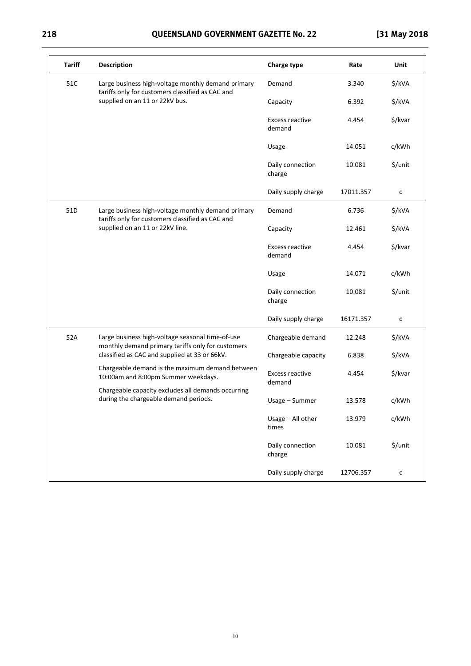## **218 QUEENSLAND GOVERNMENT GAZETTE No. 22 [31 May 2018**

| <b>Tariff</b> | <b>Description</b>                                                                                     | <b>Charge type</b>         | Rate      | Unit    |
|---------------|--------------------------------------------------------------------------------------------------------|----------------------------|-----------|---------|
| 51C           | Large business high-voltage monthly demand primary<br>tariffs only for customers classified as CAC and | Demand                     | 3.340     | \$/kVA  |
|               | supplied on an 11 or 22kV bus.                                                                         | Capacity                   | 6.392     | \$/kVA  |
|               |                                                                                                        | Excess reactive<br>demand  | 4.454     | \$/kvar |
|               |                                                                                                        | Usage                      | 14.051    | c/kWh   |
|               |                                                                                                        | Daily connection<br>charge | 10.081    | \$/unit |
|               |                                                                                                        | Daily supply charge        | 17011.357 | с       |
| 51D           | Large business high-voltage monthly demand primary<br>tariffs only for customers classified as CAC and | Demand                     | 6.736     | \$/kVA  |
|               | supplied on an 11 or 22kV line.                                                                        | Capacity                   | 12.461    | \$/kVA  |
|               |                                                                                                        | Excess reactive<br>demand  | 4.454     | \$/kvar |
|               |                                                                                                        | Usage                      | 14.071    | c/kWh   |
|               |                                                                                                        | Daily connection<br>charge | 10.081    | \$/unit |
|               |                                                                                                        | Daily supply charge        | 16171.357 | c       |
| 52A           | Large business high-voltage seasonal time-of-use<br>monthly demand primary tariffs only for customers  | Chargeable demand          | 12.248    | \$/kVA  |
|               | classified as CAC and supplied at 33 or 66kV.                                                          | Chargeable capacity        | 6.838     | \$/kVA  |
|               | Chargeable demand is the maximum demand between<br>10:00am and 8:00pm Summer weekdays.                 | Excess reactive            | 4.454     | \$/kvar |
|               | Chargeable capacity excludes all demands occurring<br>during the chargeable demand periods.            | demand<br>Usage - Summer   | 13.578    | c/kWh   |
|               |                                                                                                        | Usage - All other          | 13.979    | c/kWh   |
|               |                                                                                                        | times                      |           |         |
|               |                                                                                                        | Daily connection<br>charge | 10.081    | \$/unit |
|               |                                                                                                        | Daily supply charge        | 12706.357 | с       |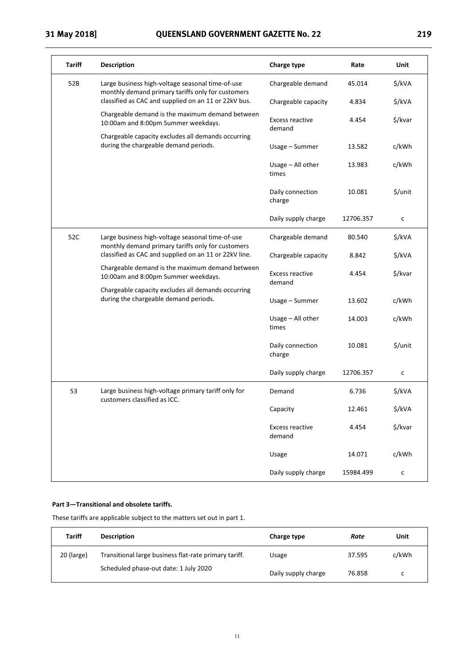| <b>Tariff</b> | <b>Description</b>                                                                                                                                                                                                                                                                                                                                      | <b>Charge type</b>               | Rate      | Unit         |
|---------------|---------------------------------------------------------------------------------------------------------------------------------------------------------------------------------------------------------------------------------------------------------------------------------------------------------------------------------------------------------|----------------------------------|-----------|--------------|
| 52B           | Large business high-voltage seasonal time-of-use<br>monthly demand primary tariffs only for customers                                                                                                                                                                                                                                                   | Chargeable demand                | 45.014    | \$/kVA       |
|               | classified as CAC and supplied on an 11 or 22kV bus.                                                                                                                                                                                                                                                                                                    | Chargeable capacity              | 4.834     | \$/kVA       |
|               | Chargeable demand is the maximum demand between<br>10:00am and 8:00pm Summer weekdays.                                                                                                                                                                                                                                                                  | <b>Excess reactive</b><br>demand | 4.454     | \$/kvar      |
|               | Chargeable capacity excludes all demands occurring<br>during the chargeable demand periods.                                                                                                                                                                                                                                                             | Usage - Summer                   | 13.582    | c/kWh        |
|               |                                                                                                                                                                                                                                                                                                                                                         | Usage - All other<br>times       | 13.983    | c/kWh        |
|               |                                                                                                                                                                                                                                                                                                                                                         | Daily connection<br>charge       | 10.081    | \$/unit      |
|               |                                                                                                                                                                                                                                                                                                                                                         | Daily supply charge              | 12706.357 | c            |
| 52C           | Large business high-voltage seasonal time-of-use<br>monthly demand primary tariffs only for customers<br>classified as CAC and supplied on an 11 or 22kV line.<br>Chargeable demand is the maximum demand between<br>10:00am and 8:00pm Summer weekdays.<br>Chargeable capacity excludes all demands occurring<br>during the chargeable demand periods. | Chargeable demand                | 80.540    | \$/kVA       |
|               |                                                                                                                                                                                                                                                                                                                                                         | Chargeable capacity              | 8.842     | \$/kVA       |
|               |                                                                                                                                                                                                                                                                                                                                                         | <b>Excess reactive</b><br>demand | 4.454     | \$/kvar      |
|               |                                                                                                                                                                                                                                                                                                                                                         | Usage - Summer                   | 13.602    | c/kWh        |
|               |                                                                                                                                                                                                                                                                                                                                                         | Usage - All other<br>times       | 14.003    | c/kWh        |
|               |                                                                                                                                                                                                                                                                                                                                                         | Daily connection<br>charge       | 10.081    | \$/unit      |
|               |                                                                                                                                                                                                                                                                                                                                                         | Daily supply charge              | 12706.357 | $\mathsf{c}$ |
| 53            | Large business high-voltage primary tariff only for                                                                                                                                                                                                                                                                                                     | Demand                           | 6.736     | \$/kVA       |
|               | customers classified as ICC.                                                                                                                                                                                                                                                                                                                            | Capacity                         | 12.461    | \$/kVA       |
|               |                                                                                                                                                                                                                                                                                                                                                         | <b>Excess reactive</b><br>demand | 4.454     | \$/kvar      |
|               |                                                                                                                                                                                                                                                                                                                                                         | Usage                            | 14.071    | c/kWh        |
|               |                                                                                                                                                                                                                                                                                                                                                         | Daily supply charge              | 15984.499 | $\mathsf{C}$ |

### **Part 3—Transitional and obsolete tariffs.**

These tariffs are applicable subject to the matters set out in part 1.

| <b>Tariff</b> | <b>Description</b>                                    | Charge type         | Rate   | Unit  |
|---------------|-------------------------------------------------------|---------------------|--------|-------|
| 20 (large)    | Transitional large business flat-rate primary tariff. | Usage               | 37.595 | c/kWh |
|               | Scheduled phase-out date: 1 July 2020                 | Daily supply charge | 76.858 | c     |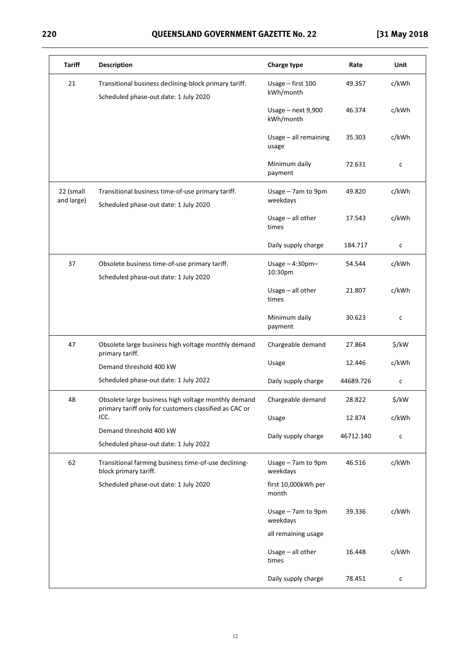## **220 QUEENSLAND GOVERNMENT GAZETTE No. 22 [31 May 2018**

| <b>Tariff</b>           | <b>Description</b>                                                                                            | <b>Charge type</b>              | Rate      | Unit         |
|-------------------------|---------------------------------------------------------------------------------------------------------------|---------------------------------|-----------|--------------|
| 21                      | Transitional business declining-block primary tariff.<br>Scheduled phase-out date: 1 July 2020                | Usage - first 100<br>kWh/month  | 49.357    | c/kWh        |
|                         |                                                                                                               | Usage - next 9,900<br>kWh/month | 46.374    | c/kWh        |
|                         |                                                                                                               | Usage - all remaining<br>usage  | 35.303    | c/kWh        |
|                         |                                                                                                               | Minimum daily<br>payment        | 72.631    | c            |
| 22 (small<br>and large) | Transitional business time-of-use primary tariff.<br>Scheduled phase-out date: 1 July 2020                    | Usage - 7am to 9pm<br>weekdays  | 49.820    | c/kWh        |
|                         |                                                                                                               | Usage $-$ all other<br>times    | 17.543    | c/kWh        |
|                         |                                                                                                               | Daily supply charge             | 184.717   | c            |
| 37                      | Obsolete business time-of-use primary tariff.<br>Scheduled phase-out date: 1 July 2020                        | Usage $-4:30$ pm-<br>10:30pm    | 54.544    | c/kWh        |
|                         |                                                                                                               | Usage - all other<br>times      | 21.807    | c/kWh        |
|                         |                                                                                                               | Minimum daily<br>payment        | 30.623    | c            |
| 47                      | Obsolete large business high voltage monthly demand<br>primary tariff.                                        | Chargeable demand               | 27.864    | \$/kW        |
|                         | Demand threshold 400 kW                                                                                       | Usage                           | 12.446    | c/kWh        |
|                         | Scheduled phase-out date: 1 July 2022                                                                         | Daily supply charge             | 44689.726 | c            |
| 48                      | Obsolete large business high voltage monthly demand<br>primary tariff only for customers classified as CAC or | Chargeable demand               | 28.822    | \$/kW        |
|                         | ICC.                                                                                                          | Usage                           | 12.874    | c/kWh        |
|                         | Demand threshold 400 kW                                                                                       | Daily supply charge             | 46712.140 | $\mathsf{C}$ |
|                         | Scheduled phase-out date: 1 July 2022                                                                         |                                 |           |              |
| 62                      | Transitional farming business time-of-use declining-<br>block primary tariff.                                 | Usage - 7am to 9pm<br>weekdays  | 46.516    | c/kWh        |
|                         | Scheduled phase-out date: 1 July 2020                                                                         | first 10,000kWh per<br>month    |           |              |
|                         |                                                                                                               | Usage - 7am to 9pm<br>weekdays  | 39.336    | c/kWh        |
|                         |                                                                                                               | all remaining usage             |           |              |
|                         |                                                                                                               | Usage $-$ all other<br>times    | 16.448    | c/kWh        |
|                         |                                                                                                               | Daily supply charge             | 78.451    | с            |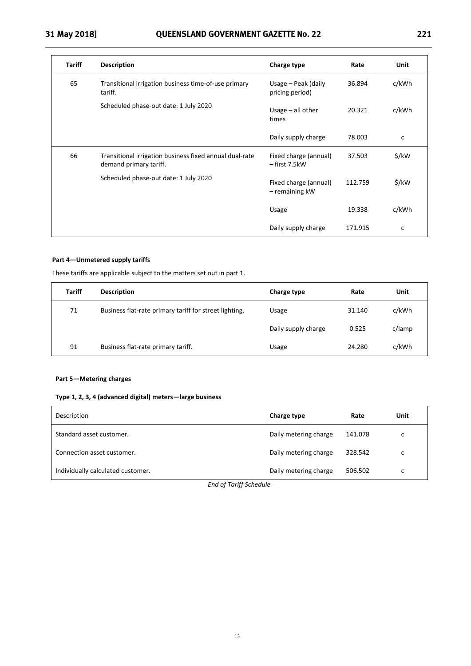| <b>Tariff</b> | <b>Description</b>                                                                | Charge type                                 | Rate    | Unit         |
|---------------|-----------------------------------------------------------------------------------|---------------------------------------------|---------|--------------|
| 65            | Transitional irrigation business time-of-use primary<br>tariff.                   | Usage $-$ Peak (daily<br>pricing period)    | 36.894  | c/kWh        |
|               | Scheduled phase-out date: 1 July 2020                                             | Usage $-$ all other<br>times                | 20.321  | c/kWh        |
|               |                                                                                   | Daily supply charge                         | 78.003  | $\mathsf{C}$ |
| 66            | Transitional irrigation business fixed annual dual-rate<br>demand primary tariff. | Fixed charge (annual)<br>- first 7.5kW      | 37.503  | \$/kW        |
|               | Scheduled phase-out date: 1 July 2020                                             | Fixed charge (annual)<br>$-$ remaining $kW$ | 112.759 | \$/kW        |
|               |                                                                                   | Usage                                       | 19.338  | c/kWh        |
|               |                                                                                   | Daily supply charge                         | 171.915 | c            |

### **Part 4—Unmetered supply tariffs**

These tariffs are applicable subject to the matters set out in part 1.

| <b>Tariff</b> | <b>Description</b>                                     | Charge type         | Rate   | Unit   |
|---------------|--------------------------------------------------------|---------------------|--------|--------|
| 71            | Business flat-rate primary tariff for street lighting. | Usage               | 31.140 | c/kWh  |
|               |                                                        | Daily supply charge | 0.525  | c/lamp |
| 91            | Business flat-rate primary tariff.                     | Usage               | 24.280 | c/kWh  |

#### **Part 5—Metering charges**

#### **Type 1, 2, 3, 4 (advanced digital) meters—large business**

| Description                       | Charge type           | Rate    | Unit |
|-----------------------------------|-----------------------|---------|------|
| Standard asset customer.          | Daily metering charge | 141.078 | с    |
| Connection asset customer.        | Daily metering charge | 328.542 | c    |
| Individually calculated customer. | Daily metering charge | 506.502 | c    |

*End of Tariff Schedule*